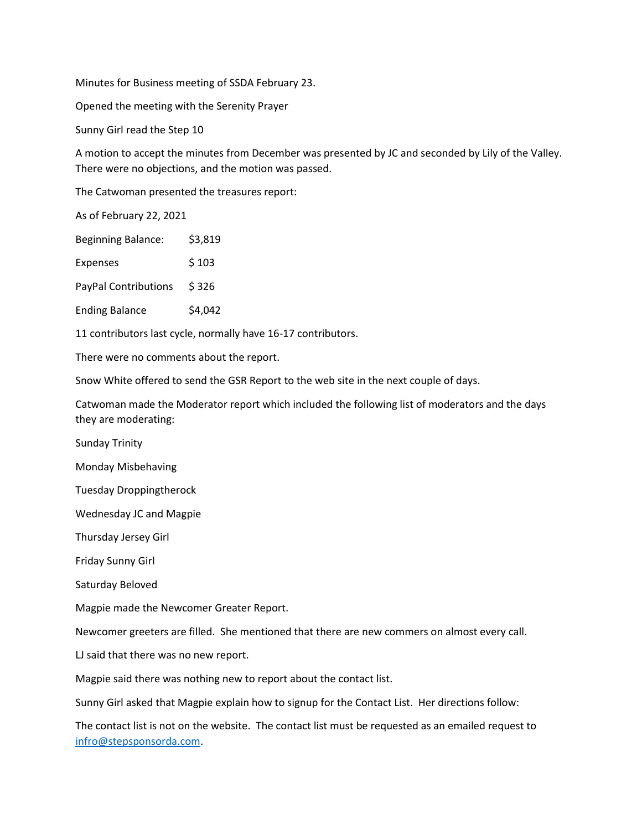Minutes for Business meeting of SSDA February 23.

Opened the meeting with the Serenity Prayer

Sunny Girl read the Step 10

A motion to accept the minutes from December was presented by JC and seconded by Lily of the Valley. There were no objections, and the motion was passed.

The Catwoman presented the treasures report:

As of February 22, 2021

| <b>Beginning Balance:</b> | \$3,819 |
|---------------------------|---------|
|---------------------------|---------|

Expenses \$103

PayPal Contributions \$326

Ending Balance \$4,042

11 contributors last cycle, normally have 16-17 contributors.

There were no comments about the report.

Snow White offered to send the GSR Report to the web site in the next couple of days.

Catwoman made the Moderator report which included the following list of moderators and the days they are moderating:

Sunday Trinity

Monday Misbehaving

Tuesday Droppingtherock

Wednesday JC and Magpie

Thursday Jersey Girl

Friday Sunny Girl

Saturday Beloved

Magpie made the Newcomer Greater Report.

Newcomer greeters are filled. She mentioned that there are new commers on almost every call.

LJ said that there was no new report.

Magpie said there was nothing new to report about the contact list.

Sunny Girl asked that Magpie explain how to signup for the Contact List. Her directions follow:

The contact list is not on the website. The contact list must be requested as an emailed request to [infro@stepsponsorda.com.](mailto:infro@stepsponsorda.com)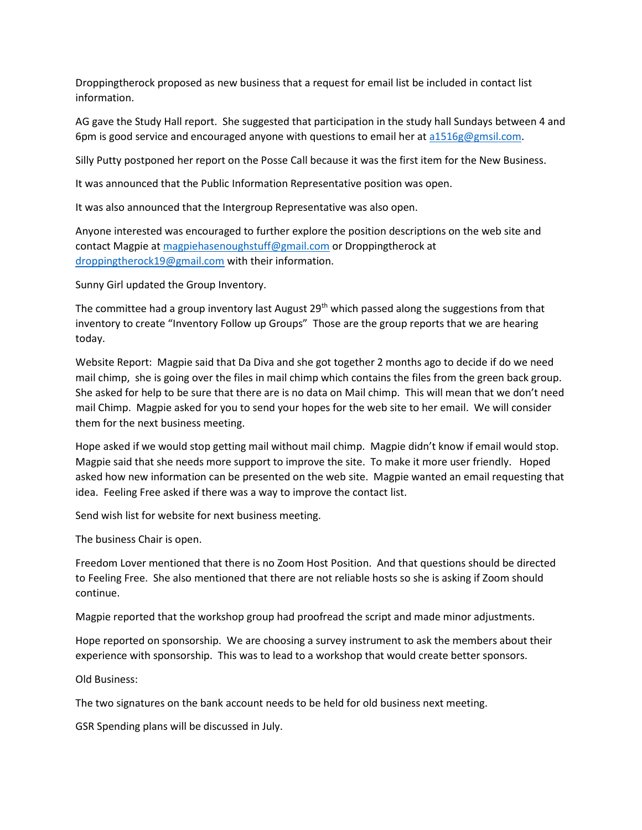Droppingtherock proposed as new business that a request for email list be included in contact list information.

AG gave the Study Hall report. She suggested that participation in the study hall Sundays between 4 and 6pm is good service and encouraged anyone with questions to email her a[t a1516g@gmsil.com.](mailto:a1516g@gmsil.com)

Silly Putty postponed her report on the Posse Call because it was the first item for the New Business.

It was announced that the Public Information Representative position was open.

It was also announced that the Intergroup Representative was also open.

Anyone interested was encouraged to further explore the position descriptions on the web site and contact Magpie a[t magpiehasenoughstuff@gmail.com](mailto:magpiehasenoughstuff@gmail.com) or Droppingtherock at [droppingtherock19@gmail.com](mailto:droppingtherock19@gmail.com) with their information.

Sunny Girl updated the Group Inventory.

The committee had a group inventory last August 29<sup>th</sup> which passed along the suggestions from that inventory to create "Inventory Follow up Groups" Those are the group reports that we are hearing today.

Website Report: Magpie said that Da Diva and she got together 2 months ago to decide if do we need mail chimp, she is going over the files in mail chimp which contains the files from the green back group. She asked for help to be sure that there are is no data on Mail chimp. This will mean that we don't need mail Chimp. Magpie asked for you to send your hopes for the web site to her email. We will consider them for the next business meeting.

Hope asked if we would stop getting mail without mail chimp. Magpie didn't know if email would stop. Magpie said that she needs more support to improve the site. To make it more user friendly. Hoped asked how new information can be presented on the web site. Magpie wanted an email requesting that idea. Feeling Free asked if there was a way to improve the contact list.

Send wish list for website for next business meeting.

The business Chair is open.

Freedom Lover mentioned that there is no Zoom Host Position. And that questions should be directed to Feeling Free. She also mentioned that there are not reliable hosts so she is asking if Zoom should continue.

Magpie reported that the workshop group had proofread the script and made minor adjustments.

Hope reported on sponsorship. We are choosing a survey instrument to ask the members about their experience with sponsorship. This was to lead to a workshop that would create better sponsors.

Old Business:

The two signatures on the bank account needs to be held for old business next meeting.

GSR Spending plans will be discussed in July.